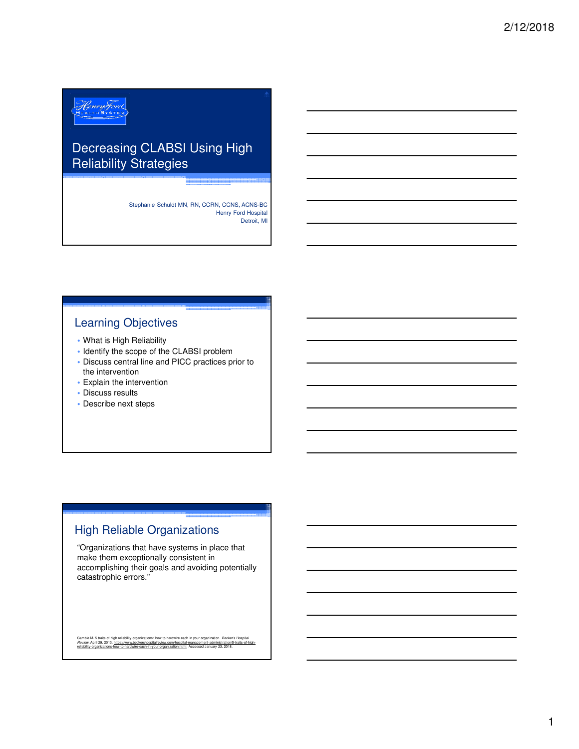# Henry Ford

## Decreasing CLABSI Using High Reliability Strategies

Stephanie Schuldt MN, RN, CCRN, CCNS, ACNS-BC Henry Ford Hospital Detroit, MI

#### Learning Objectives

- What is High Reliability
- Identify the scope of the CLABSI problem
- Discuss central line and PICC practices prior to the intervention
- Explain the intervention
- Discuss results
- Describe next steps

## High Reliable Organizations

"Organizations that have systems in place that make them exceptionally consistent in accomplishing their goals and avoiding potentially catastrophic errors."

Gamble M. 5 traits of high reliability organizations: how to hardwire each in your organization. *Becker's Hospital*<br>Review. April 29, 2013. https://www.beckershospitalreview.com/hospital-management-administration/5-traits ement-administration/5-tranization<br>and-danuary 23, 2018.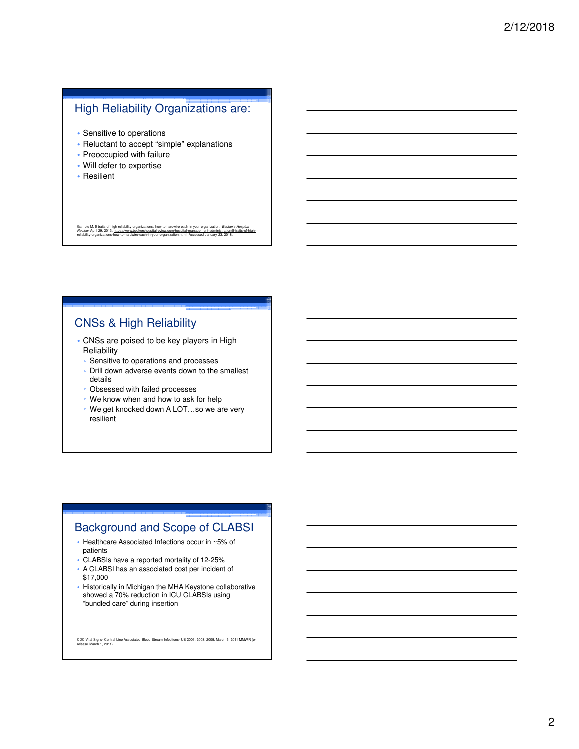#### High Reliability Organizations are:

- Sensitive to operations
- Reluctant to accept "simple" explanations
- Preoccupied with failure
- Will defer to expertise
- Resilient

Gamble M. 5 traits of high reliability organizations: how to hardwire each in your organization. *Becker's Hospital*<br>*Review.* April 29, 2013. <u>https://www.beckershospitalreview.com/hospital-management-administration/5-tra</u> ire-each-in-your-organization.html. Accessed January 23, 2018.

## CNSs & High Reliability

- CNSs are poised to be key players in High **Reliability** 
	- Sensitive to operations and processes
	- Drill down adverse events down to the smallest details
	- Obsessed with failed processes
	- We know when and how to ask for help
	- We get knocked down A LOT…so we are very resilient

## Background and Scope of CLABSI

- Healthcare Associated Infections occur in ~5% of patients
- CLABSIs have a reported mortality of 12-25%
- A CLABSI has an associated cost per incident of \$17,000
- Historically in Michigan the MHA Keystone collaborative showed a 70% reduction in ICU CLABSIs using "bundled care" during insertion

CDC Vital Signs- Central Line Associated Blood Stream Infections- US 2001, 2008, 2009. March 3, 2011 MMWR (e-release March 1, 2011).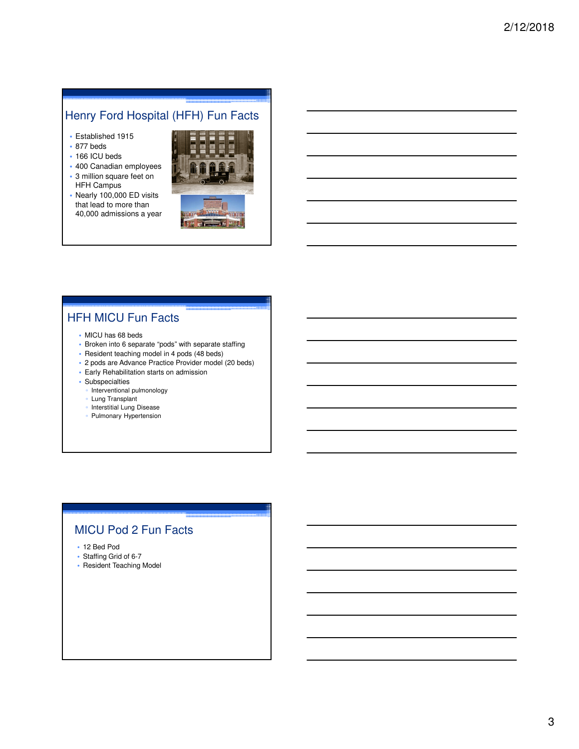## Henry Ford Hospital (HFH) Fun Facts

- Established 1915
- 877 beds
- 166 ICU beds
- 400 Canadian employees • 3 million square feet on
- HFH Campus • Nearly 100,000 ED visits
- that lead to more than 40,000 admissions a year



## HFH MICU Fun Facts

- MICU has 68 beds
- Broken into 6 separate "pods" with separate staffing
- Resident teaching model in 4 pods (48 beds)
- 2 pods are Advance Practice Provider model (20 beds)
- Early Rehabilitation starts on admission
- Subspecialties
	- Interventional pulmonology
	- Lung Transplant
	- Interstitial Lung Disease
	- Pulmonary Hypertension

## MICU Pod 2 Fun Facts

- 12 Bed Pod
- Staffing Grid of 6-7
- Resident Teaching Model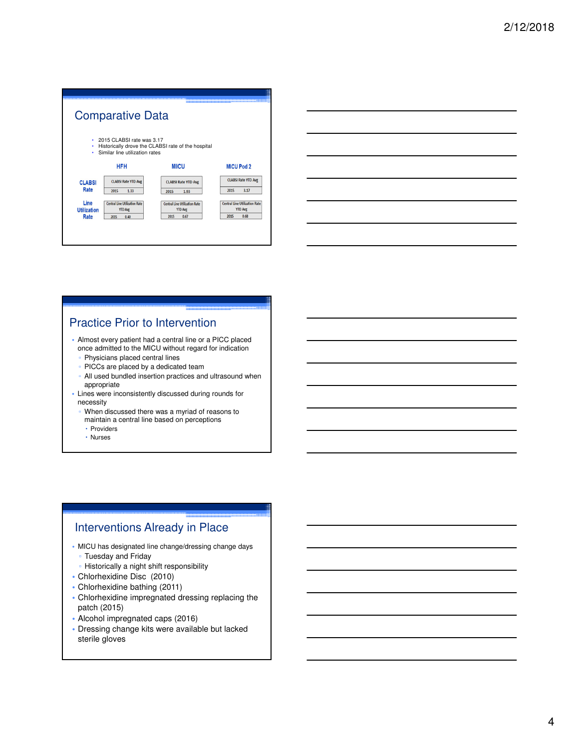|                    | <b>Comparative Data</b>                                     |                                                        |                                                        |
|--------------------|-------------------------------------------------------------|--------------------------------------------------------|--------------------------------------------------------|
| ٠<br>٠<br>٠        | 2015 CLABSI rate was 3.17<br>Similar line utilization rates | Historically drove the CLABSI rate of the hospital     |                                                        |
|                    | <b>HFH</b>                                                  | <b>MICU</b>                                            | <b>MICU Pod 2</b>                                      |
| <b>CLABSI</b>      | <b>CLABSI Rate YTD Avg</b>                                  | <b>CLABSI Rate YTD Avg</b>                             | <b>CLABSI Rate YTD Avg</b>                             |
| Rate               | 2015<br>1.33                                                | 2015<br>1.93                                           | 3.17<br>2015                                           |
| Line               | <b>Central Line Utilization Rate</b><br><b>YTD Avg</b>      | <b>Central Line Utilization Rate</b><br><b>YTD Avg</b> | <b>Central Line Utilization Rate</b><br><b>YTD Avg</b> |
| <b>Utilization</b> |                                                             |                                                        |                                                        |

## Practice Prior to Intervention

- Almost every patient had a central line or a PICC placed once admitted to the MICU without regard for indication
	- Physicians placed central lines
	- PICCs are placed by a dedicated team
	- All used bundled insertion practices and ultrasound when appropriate
- Lines were inconsistently discussed during rounds for necessity
	- When discussed there was a myriad of reasons to maintain a central line based on perceptions
	- Providers
	- Nurses

## Interventions Already in Place

- MICU has designated line change/dressing change days ▫ Tuesday and Friday
	- Historically a night shift responsibility
- Chlorhexidine Disc (2010)
- Chlorhexidine bathing (2011)
- Chlorhexidine impregnated dressing replacing the patch (2015)
- Alcohol impregnated caps (2016)
- Dressing change kits were available but lacked sterile gloves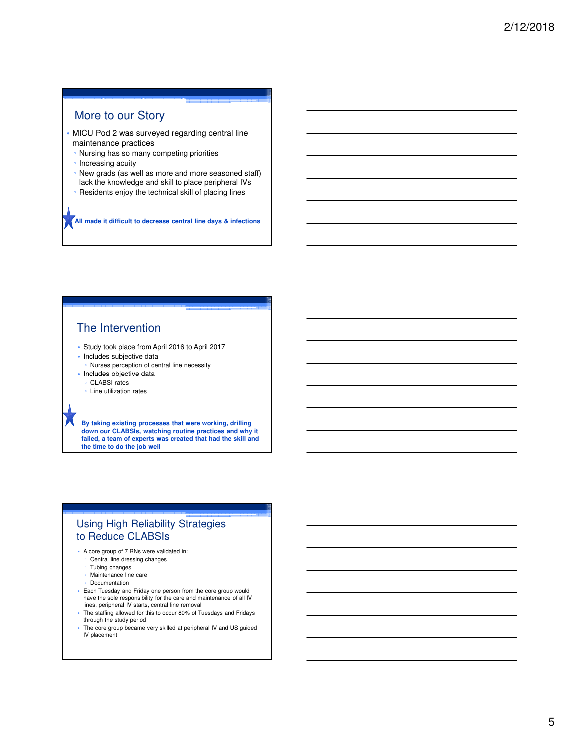## More to our Story

- MICU Pod 2 was surveyed regarding central line maintenance practices
- Nursing has so many competing priorities
- Increasing acuity
- New grads (as well as more and more seasoned staff) lack the knowledge and skill to place peripheral IVs
- Residents enjoy the technical skill of placing lines

**All made it difficult to decrease central line days & infections**

#### The Intervention

- Study took place from April 2016 to April 2017
- Includes subjective data
- Nurses perception of central line necessity
- Includes objective data
- CLABSI rates
- Line utilization rates

**By taking existing processes that were working, drilling down our CLABSIs, watching routine practices and why it failed, a team of experts was created that had the skill and the time to do the job well**

#### Using High Reliability Strategies to Reduce CLABSIs

- A core group of 7 RNs were validated in:
	- Central line dressing changes
	- Tubing changes
	- Maintenance line care
	- **Documentation**
- Each Tuesday and Friday one person from the core group would have the sole responsibility for the care and maintenance of all IV lines, peripheral IV starts, central line removal
- The staffing allowed for this to occur 80% of Tuesdays and Fridays through the study period
- The core group became very skilled at peripheral IV and US guided IV placement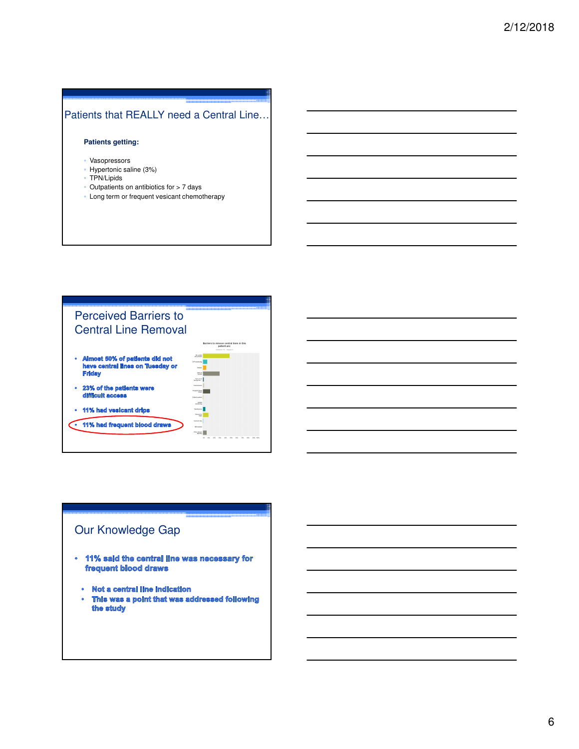#### Patients that REALLY need a Central Line…

#### **Patients getting:**

- Vasopressors
- Hypertonic saline (3%)
- TPN/Lipids
- Outpatients on antibiotics for > 7 days
- Long term or frequent vesicant chemotherapy



## Our Knowledge Gap

- · 11% said the central line was necessary for frequent blood draws
	- · Not a central line indication
	- $\bullet$ This was a point that was addressed following the study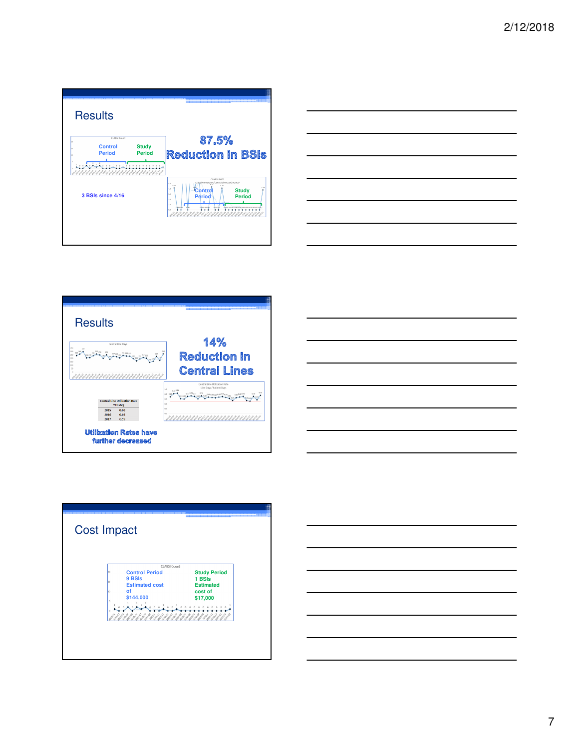| <b>Results</b>                                                                                                   |                                                                                                                                                                                                                             |
|------------------------------------------------------------------------------------------------------------------|-----------------------------------------------------------------------------------------------------------------------------------------------------------------------------------------------------------------------------|
| CLABSI Count<br><b>Control</b><br><b>Study</b><br><b>Period</b><br><b>Period</b><br>0 0 1<br>$\circ$<br>$\alpha$ | 87.5%<br><b>Reduction in BSIs</b>                                                                                                                                                                                           |
| 3 BSIs since 4/16                                                                                                | <b>CLABSI RATE</b><br>ClabsiNumerator/CentralLineDays) x1000<br>5.0<br>4.17<br>40<br>Control<br><b>Study</b><br>3.O<br><b>Period</b><br><b>Period</b><br>$20^{1}$<br>$\mathbf{r}$<br>obo z oco<br>doo o de<br>άó<br>アイイオイヤト |
|                                                                                                                  |                                                                                                                                                                                                                             |







|    | CLABSI Count                    |                                                          |
|----|---------------------------------|----------------------------------------------------------|
|    | <b>Control Period</b><br>9 BSIs | <b>Study Period</b><br>1 BSIs                            |
|    | <b>Estimated cost</b>           | <b>Estimated</b>                                         |
| 10 | of                              | cost of                                                  |
| ×. | \$144,000                       | \$17,000                                                 |
|    | 0 <sub>0</sub><br>atomicon en   | $\Omega$<br>$\Omega$<br>$\Omega$<br>Babya September 2010 |

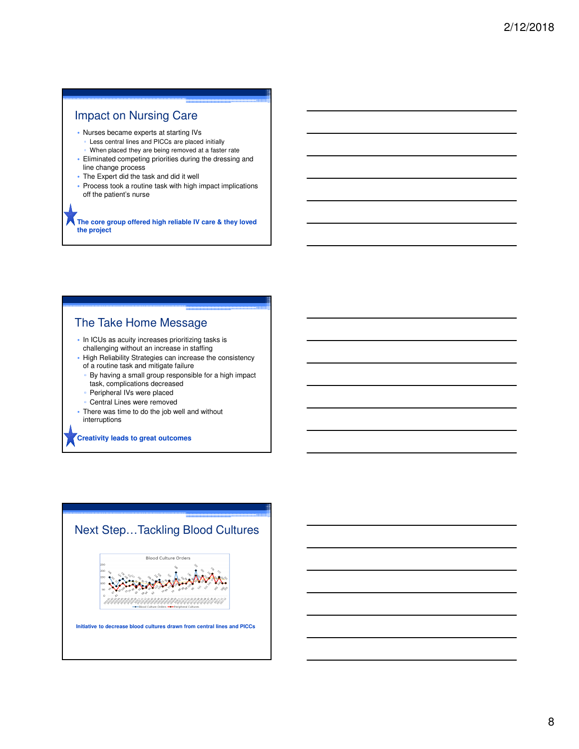## Impact on Nursing Care

- Nurses became experts at starting IVs
	- Less central lines and PICCs are placed initially
	- When placed they are being removed at a faster rate
- Eliminated competing priorities during the dressing and line change process
- The Expert did the task and did it well
- Process took a routine task with high impact implications off the patient's nurse

**The core group offered high reliable IV care & they loved the project**

#### The Take Home Message

- In ICUs as acuity increases prioritizing tasks is challenging without an increase in staffing
- High Reliability Strategies can increase the consistency of a routine task and mitigate failure
- By having a small group responsible for a high impact task, complications decreased
- Peripheral IVs were placed
- Central Lines were removed
- There was time to do the job well and without interruptions

#### **Creativity leads to great outcomes**